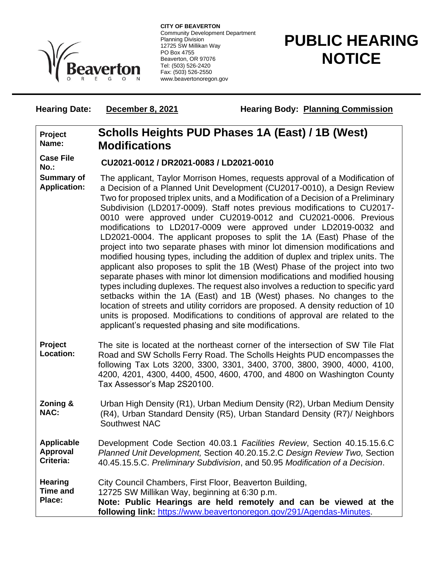

**CITY OF BEAVERTON** Community Development Department Planning Division 12725 SW Millikan Way PO Box 4755 Beaverton, OR 97076 Tel: (503) 526-2420 Fax: (503) 526-2550 www.beavertonoregon.gov

# **PUBLIC HEARING NOTICE**

# **Hearing Date: December 8, 2021 Hearing Body: Planning Commission**

#### **Project Name: Scholls Heights PUD Phases 1A (East) / 1B (West) Modifications**

**Case File** 

# **No.: CU2021-0012 / DR2021-0083 / LD2021-0010**

**Summary of Application:** The applicant, Taylor Morrison Homes, requests approval of a Modification of a Decision of a Planned Unit Development (CU2017-0010), a Design Review Two for proposed triplex units, and a Modification of a Decision of a Preliminary Subdivision (LD2017-0009). Staff notes previous modifications to CU2017- 0010 were approved under CU2019-0012 and CU2021-0006. Previous modifications to LD2017-0009 were approved under LD2019-0032 and LD2021-0004. The applicant proposes to split the 1A (East) Phase of the project into two separate phases with minor lot dimension modifications and modified housing types, including the addition of duplex and triplex units. The applicant also proposes to split the 1B (West) Phase of the project into two separate phases with minor lot dimension modifications and modified housing types including duplexes. The request also involves a reduction to specific yard setbacks within the 1A (East) and 1B (West) phases. No changes to the location of streets and utility corridors are proposed. A density reduction of 10 units is proposed. Modifications to conditions of approval are related to the applicant's requested phasing and site modifications.

- **Project Location:** The site is located at the northeast corner of the intersection of SW Tile Flat Road and SW Scholls Ferry Road. The Scholls Heights PUD encompasses the following Tax Lots 3200, 3300, 3301, 3400, 3700, 3800, 3900, 4000, 4100, 4200, 4201, 4300, 4400, 4500, 4600, 4700, and 4800 on Washington County Tax Assessor's Map 2S20100.
- **Zoning & NAC:** Urban High Density (R1), Urban Medium Density (R2), Urban Medium Density (R4), Urban Standard Density (R5), Urban Standard Density (R7)/ Neighbors Southwest NAC

**Applicable Approval Criteria:** Development Code Section 40.03.1 *Facilities Review*, Section 40.15.15.6.C *Planned Unit Development,* Section 40.20.15.2.C *Design Review Two,* Section 40.45.15.5.C. *Preliminary Subdivision*, and 50.95 *Modification of a Decision*.

**Hearing**  City Council Chambers, First Floor, Beaverton Building,

**Time and**  12725 SW Millikan Way, beginning at 6:30 p.m.

**Place: Note: Public Hearings are held remotely and can be viewed at the following link:** [https://www.beavertonoregon.gov/291/Agendas-Minutes.](https://www.beavertonoregon.gov/291/Agendas-Minutes)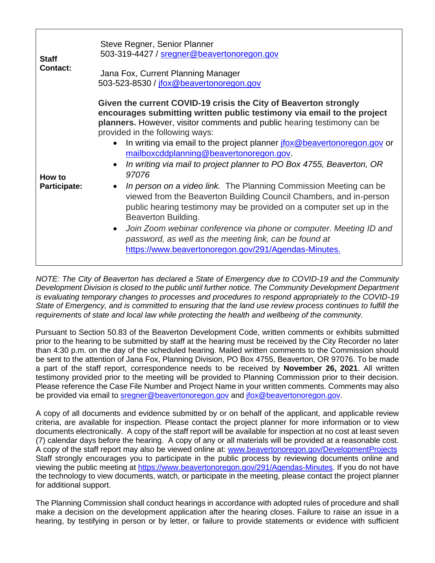| <b>Staff</b><br><b>Contact:</b> | Steve Regner, Senior Planner<br>503-319-4427 / sregner@beavertonoregon.gov<br>Jana Fox, Current Planning Manager<br>503-523-8530 / jfox@beavertonoregon.gov                                                                                                                                                                                                                                                                                                                                                                                                                                                                                                                                                                                                                                                                                                                                                                                             |
|---------------------------------|---------------------------------------------------------------------------------------------------------------------------------------------------------------------------------------------------------------------------------------------------------------------------------------------------------------------------------------------------------------------------------------------------------------------------------------------------------------------------------------------------------------------------------------------------------------------------------------------------------------------------------------------------------------------------------------------------------------------------------------------------------------------------------------------------------------------------------------------------------------------------------------------------------------------------------------------------------|
| How to<br><b>Participate:</b>   | Given the current COVID-19 crisis the City of Beaverton strongly<br>encourages submitting written public testimony via email to the project<br>planners. However, visitor comments and public hearing testimony can be<br>provided in the following ways:<br>In writing via email to the project planner jobs @beavertonoregon.gov or<br>$\bullet$<br>mailboxcddplanning@beavertonoregon.gov.<br>In writing via mail to project planner to PO Box 4755, Beaverton, OR<br>$\bullet$<br>97076<br>In person on a video link. The Planning Commission Meeting can be<br>$\bullet$<br>viewed from the Beaverton Building Council Chambers, and in-person<br>public hearing testimony may be provided on a computer set up in the<br>Beaverton Building.<br>Join Zoom webinar conference via phone or computer. Meeting ID and<br>$\bullet$<br>password, as well as the meeting link, can be found at<br>https://www.beavertonoregon.gov/291/Agendas-Minutes. |

*NOTE: The City of Beaverton has declared a State of Emergency due to COVID-19 and the Community Development Division is closed to the public until further notice. The Community Development Department is evaluating temporary changes to processes and procedures to respond appropriately to the COVID-19 State of Emergency, and is committed to ensuring that the land use review process continues to fulfill the requirements of state and local law while protecting the health and wellbeing of the community.*

Pursuant to Section 50.83 of the Beaverton Development Code, written comments or exhibits submitted prior to the hearing to be submitted by staff at the hearing must be received by the City Recorder no later than 4:30 p.m. on the day of the scheduled hearing. Mailed written comments to the Commission should be sent to the attention of Jana Fox, Planning Division, PO Box 4755, Beaverton, OR 97076. To be made a part of the staff report, correspondence needs to be received by **November 26, 2021**. All written testimony provided prior to the meeting will be provided to Planning Commission prior to their decision. Please reference the Case File Number and Project Name in your written comments. Comments may also be provided via email to [sregner@beavertonoregon.gov](mailto:sregner@beavertonoregon.gov) and [jfox@beavertonoregon.gov.](mailto:jfox@beavertonoregon.gov)

A copy of all documents and evidence submitted by or on behalf of the applicant, and applicable review criteria, are available for inspection. Please contact the project planner for more information or to view documents electronically. A copy of the staff report will be available for inspection at no cost at least seven (7) calendar days before the hearing. A copy of any or all materials will be provided at a reasonable cost. A copy of the staff report may also be viewed online at: [www.beavertonoregon.gov/DevelopmentProjects](http://www.beavertonoregon.gov/DevelopmentProjects) Staff strongly encourages you to participate in the public process by reviewing documents online and viewing the public meeting at [https://www.beavertonoregon.gov/291/Agendas-Minutes.](https://www.beavertonoregon.gov/291/Agendas-Minutes) If you do not have the technology to view documents, watch, or participate in the meeting, please contact the project planner for additional support.

The Planning Commission shall conduct hearings in accordance with adopted rules of procedure and shall make a decision on the development application after the hearing closes. Failure to raise an issue in a hearing, by testifying in person or by letter, or failure to provide statements or evidence with sufficient